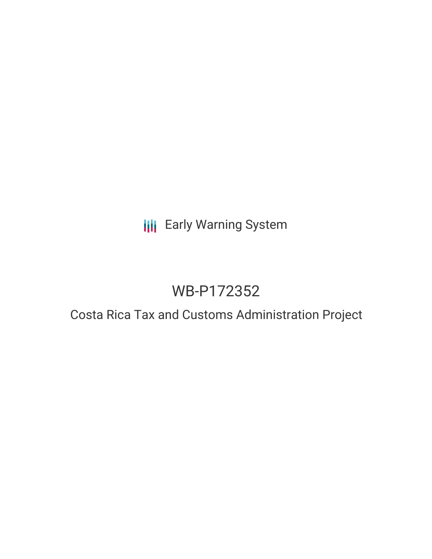## **III** Early Warning System

# WB-P172352

### Costa Rica Tax and Customs Administration Project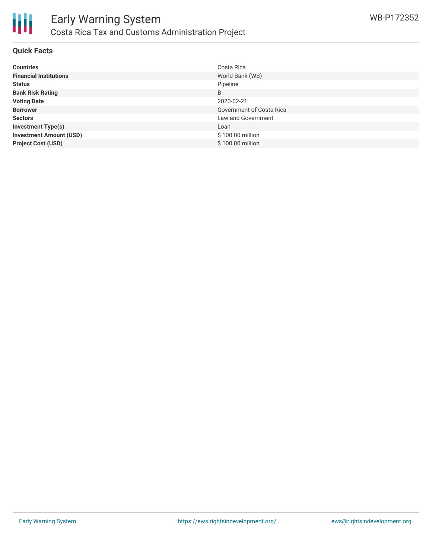

#### **Quick Facts**

| <b>Countries</b>               | Costa Rica               |
|--------------------------------|--------------------------|
| <b>Financial Institutions</b>  | World Bank (WB)          |
| <b>Status</b>                  | Pipeline                 |
| <b>Bank Risk Rating</b>        | B                        |
| <b>Voting Date</b>             | 2020-02-21               |
| <b>Borrower</b>                | Government of Costa Rica |
| <b>Sectors</b>                 | Law and Government       |
| <b>Investment Type(s)</b>      | Loan                     |
| <b>Investment Amount (USD)</b> | \$100.00 million         |
| <b>Project Cost (USD)</b>      | \$100.00 million         |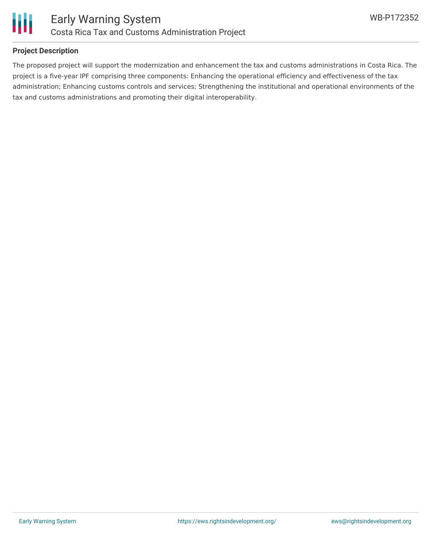

#### **Project Description**

The proposed project will support the modernization and enhancement the tax and customs administrations in Costa Rica. The project is a five-year IPF comprising three components: Enhancing the operational efficiency and effectiveness of the tax administration; Enhancing customs controls and services; Strengthening the institutional and operational environments of the tax and customs administrations and promoting their digital interoperability.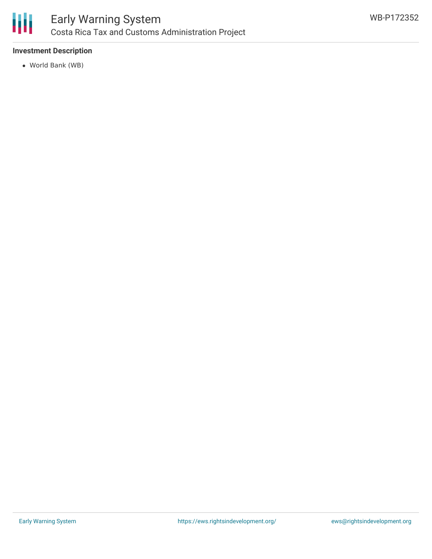

#### **Investment Description**

World Bank (WB)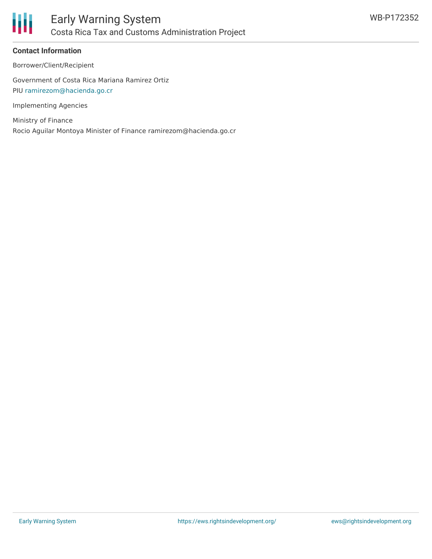

#### **Contact Information**

Borrower/Client/Recipient

Government of Costa Rica Mariana Ramirez Ortiz PIU [ramirezom@hacienda.go.cr](mailto:ramirezom@hacienda.go.cr)

Implementing Agencies

Ministry of Finance Rocio Aguilar Montoya Minister of Finance ramirezom@hacienda.go.cr